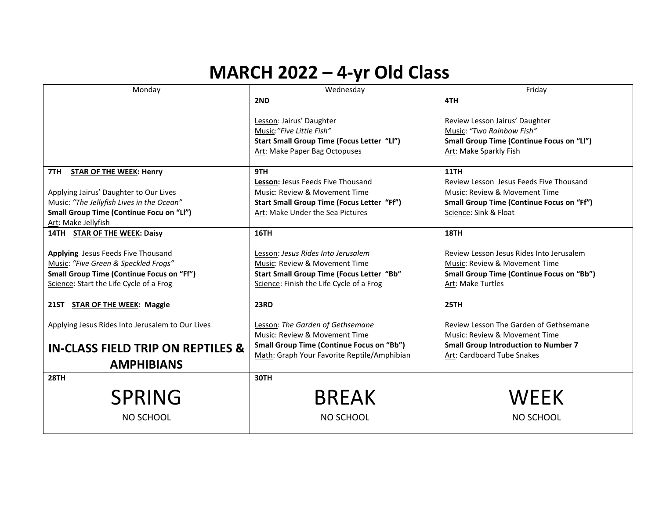## **MARCH 2022 – 4-yr Old Class**

| Monday                                           | Wednesday                                        | Friday                                           |
|--------------------------------------------------|--------------------------------------------------|--------------------------------------------------|
|                                                  | 2ND                                              | 4TH                                              |
|                                                  |                                                  |                                                  |
|                                                  | Lesson: Jairus' Daughter                         | Review Lesson Jairus' Daughter                   |
|                                                  | Music:"Five Little Fish"                         | Music: "Two Rainbow Fish"                        |
|                                                  | Start Small Group Time (Focus Letter "Ll")       | <b>Small Group Time (Continue Focus on "Ll")</b> |
|                                                  | Art: Make Paper Bag Octopuses                    | Art: Make Sparkly Fish                           |
|                                                  |                                                  |                                                  |
| 7TH STAR OF THE WEEK: Henry                      | 9TH                                              | 11TH                                             |
|                                                  | Lesson: Jesus Feeds Five Thousand                | Review Lesson Jesus Feeds Five Thousand          |
| Applying Jairus' Daughter to Our Lives           | Music: Review & Movement Time                    | Music: Review & Movement Time                    |
| Music: "The Jellyfish Lives in the Ocean"        | Start Small Group Time (Focus Letter "Ff")       | <b>Small Group Time (Continue Focus on "Ff")</b> |
| Small Group Time (Continue Focu on "Ll")         | Art: Make Under the Sea Pictures                 | Science: Sink & Float                            |
| Art: Make Jellyfish                              |                                                  |                                                  |
| 14TH STAR OF THE WEEK: Daisy                     | <b>16TH</b>                                      | 18TH                                             |
|                                                  |                                                  |                                                  |
| Applying Jesus Feeds Five Thousand               | Lesson: Jesus Rides Into Jerusalem               | Review Lesson Jesus Rides Into Jerusalem         |
| Music: "Five Green & Speckled Frogs"             | Music: Review & Movement Time                    | Music: Review & Movement Time                    |
| <b>Small Group Time (Continue Focus on "Ff")</b> | Start Small Group Time (Focus Letter "Bb"        | <b>Small Group Time (Continue Focus on "Bb")</b> |
| Science: Start the Life Cycle of a Frog          | Science: Finish the Life Cycle of a Frog         | Art: Make Turtles                                |
|                                                  |                                                  |                                                  |
| 21ST STAR OF THE WEEK: Maggie                    | <b>23RD</b>                                      | 25TH                                             |
|                                                  |                                                  |                                                  |
| Applying Jesus Rides Into Jerusalem to Our Lives | Lesson: The Garden of Gethsemane                 | Review Lesson The Garden of Gethsemane           |
|                                                  | Music: Review & Movement Time                    | Music: Review & Movement Time                    |
| <b>IN-CLASS FIELD TRIP ON REPTILES &amp;</b>     | <b>Small Group Time (Continue Focus on "Bb")</b> | <b>Small Group Introduction to Number 7</b>      |
|                                                  | Math: Graph Your Favorite Reptile/Amphibian      | Art: Cardboard Tube Snakes                       |
| <b>AMPHIBIANS</b>                                |                                                  |                                                  |
| <b>28TH</b>                                      | 30TH                                             |                                                  |
|                                                  |                                                  |                                                  |
| <b>SPRING</b>                                    | <b>BREAK</b>                                     | <b>WEEK</b>                                      |
| NO SCHOOL                                        | NO SCHOOL                                        | NO SCHOOL                                        |
|                                                  |                                                  |                                                  |